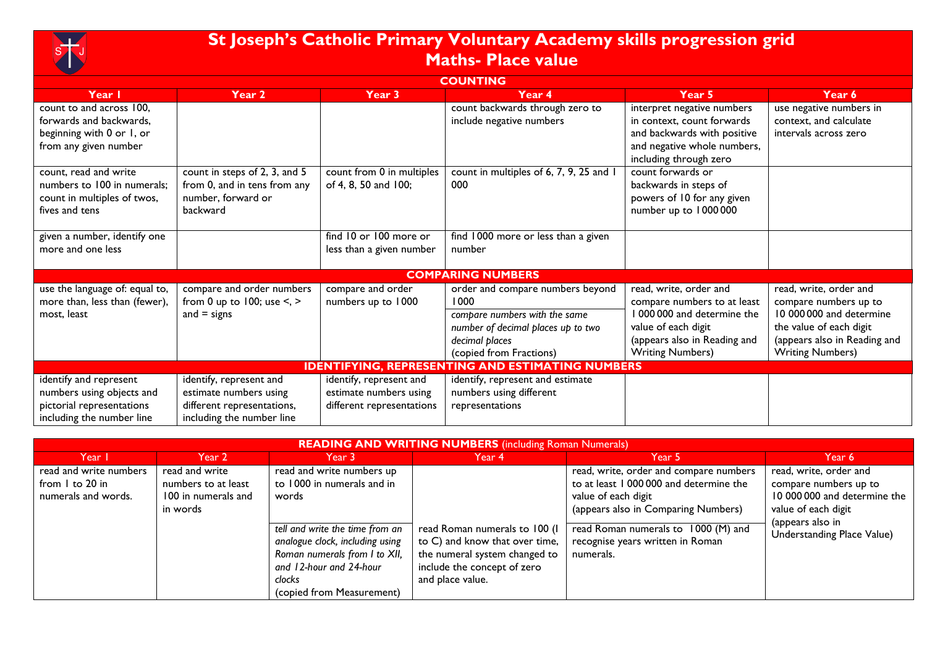

## **St Joseph's Catholic Primary Voluntary Academy skills progression grid Maths- Place value**

| <b>COUNTING</b>                                         |                                   |                           |                                         |                              |                              |  |  |
|---------------------------------------------------------|-----------------------------------|---------------------------|-----------------------------------------|------------------------------|------------------------------|--|--|
| Year I                                                  | Year 2                            | Year 3                    | Year 4                                  | Year 5                       | Year 6                       |  |  |
| count to and across 100,                                |                                   |                           | count backwards through zero to         | interpret negative numbers   | use negative numbers in      |  |  |
| forwards and backwards,                                 |                                   |                           | include negative numbers                | in context, count forwards   | context, and calculate       |  |  |
| beginning with 0 or 1, or                               |                                   |                           |                                         | and backwards with positive  | intervals across zero        |  |  |
| from any given number                                   |                                   |                           |                                         | and negative whole numbers,  |                              |  |  |
|                                                         |                                   |                           |                                         | including through zero       |                              |  |  |
| count, read and write                                   | count in steps of 2, 3, and 5     | count from 0 in multiples | count in multiples of 6, 7, 9, 25 and 1 | count forwards or            |                              |  |  |
| numbers to 100 in numerals;                             | from 0, and in tens from any      | of 4, 8, 50 and 100;      | 000                                     | backwards in steps of        |                              |  |  |
| count in multiples of twos,                             | number, forward or                |                           |                                         | powers of 10 for any given   |                              |  |  |
| fives and tens                                          | backward                          |                           |                                         | number up to 1000000         |                              |  |  |
|                                                         |                                   |                           |                                         |                              |                              |  |  |
| given a number, identify one                            |                                   | find 10 or 100 more or    | find 1000 more or less than a given     |                              |                              |  |  |
| more and one less                                       |                                   | less than a given number  | number                                  |                              |                              |  |  |
|                                                         |                                   |                           |                                         |                              |                              |  |  |
|                                                         |                                   |                           | <b>COMPARING NUMBERS</b>                |                              |                              |  |  |
| use the language of: equal to,                          | compare and order numbers         | compare and order         | order and compare numbers beyond        | read, write, order and       | read, write, order and       |  |  |
| more than, less than (fewer),                           | from 0 up to 100; use $\le$ , $>$ | numbers up to 1000        | l 000                                   | compare numbers to at least  | compare numbers up to        |  |  |
| most, least                                             | and $=$ signs                     |                           | compare numbers with the same           | I 000 000 and determine the  | 10 000 000 and determine     |  |  |
|                                                         |                                   |                           | number of decimal places up to two      | value of each digit          | the value of each digit      |  |  |
|                                                         |                                   |                           | decimal places                          | (appears also in Reading and | (appears also in Reading and |  |  |
|                                                         |                                   |                           | (copied from Fractions)                 | <b>Writing Numbers)</b>      | <b>Writing Numbers)</b>      |  |  |
| <b>IDENTIFYING, REPRESENTING AND ESTIMATING NUMBERS</b> |                                   |                           |                                         |                              |                              |  |  |
| identify and represent                                  | identify, represent and           | identify, represent and   | identify, represent and estimate        |                              |                              |  |  |
| numbers using objects and                               | estimate numbers using            | estimate numbers using    | numbers using different                 |                              |                              |  |  |
| pictorial representations                               | different representations,        | different representations | representations                         |                              |                              |  |  |
| including the number line                               | including the number line         |                           |                                         |                              |                              |  |  |

| <b>READING AND WRITING NUMBERS</b> (including Roman Numerals)    |                                                                          |                                                                                                                                                                                                                                           |                                                                                                                                                     |                                                                                                                                                                                                                                         |                                                                                                                                                          |  |
|------------------------------------------------------------------|--------------------------------------------------------------------------|-------------------------------------------------------------------------------------------------------------------------------------------------------------------------------------------------------------------------------------------|-----------------------------------------------------------------------------------------------------------------------------------------------------|-----------------------------------------------------------------------------------------------------------------------------------------------------------------------------------------------------------------------------------------|----------------------------------------------------------------------------------------------------------------------------------------------------------|--|
| Year I                                                           | Year 2                                                                   | Year 3                                                                                                                                                                                                                                    | Year 4                                                                                                                                              | Year 5                                                                                                                                                                                                                                  | Year 6                                                                                                                                                   |  |
| read and write numbers<br>from 1 to 20 in<br>numerals and words. | read and write<br>numbers to at least<br>100 in numerals and<br>in words | read and write numbers up<br>to 1000 in numerals and in<br>words<br>tell and write the time from an<br>analogue clock, including using<br>Roman numerals from I to XII,<br>and 12-hour and 24-hour<br>clocks<br>(copied from Measurement) | read Roman numerals to 100 (I<br>to C) and know that over time,<br>the numeral system changed to<br>include the concept of zero<br>and place value. | read, write, order and compare numbers<br>to at least 1 000 000 and determine the<br>value of each digit<br>(appears also in Comparing Numbers)<br>read Roman numerals to 1000 (M) and<br>recognise years written in Roman<br>numerals. | read, write, order and<br>compare numbers up to<br>10 000 000 and determine the<br>value of each digit<br>(appears also in<br>Understanding Place Value) |  |